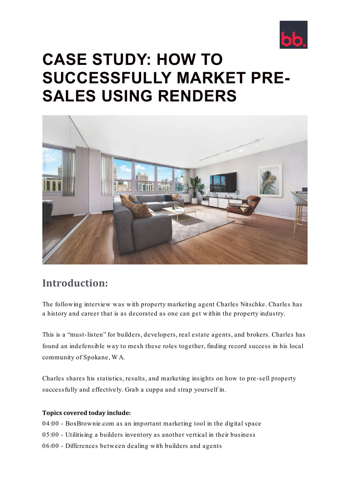

# **CASE STUDY: HOW TO SUCCESSFULLY MARKET PRE-SALES USING RENDERS**



# **Introduction:**

The following interview was with property marketing agent Charles Nitschke. Charles has a history and career that is as decorated as one can get within the property industry.

This is a "must-listen" for builders, developers, real estate agents, and brokers. Charles has found an indefensible way to mesh these roles together, finding record success in his local community of Spokane, W A.

Charles shares his statistics, results, and marketing insights on how to pre-sell property successfully and effectively. Grab a cuppa and strap yourself in.

# **Topics covered today include:**

- 04:00 BoxBrownie.com as an important marketing tool in the digital space
- 05:00 Utilitising a builders inventory as another vertical in their business
- 06:00 Differences between dealing with builders and agents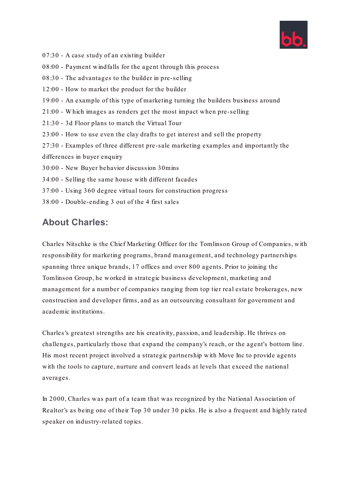

- 07:30 A case study of an existing builder
- 08:00 Payment windfalls for the agent through this process
- 08:30 The advantages to the builder in pre-selling
- 12:00 How to market the product for the builder
- 19:00 An example of this type of marketing turning the builders business around
- 21:00 W hich images as renders get the most impact when pre-selling
- 21:30 3d Floor plans to match the Virtual Tour
- 23:00 How to use even the clay drafts to get interest and sell the property
- 27:30 Examples of three different pre-sale marketing examples and importantly the differences in buyer enquiry
- 30:00 New Buyer behavior discussion 30mins
- 34:00 Selling the same house with different facades
- 37:00 Using 360 degree virtual tours for construction progress
- 38:00 Double-ending 3 out of the 4 first sales

# **About Charles:**

Charles Nitschke is the Chief Marketing Officer for the Tomlinson Group of Companies, with responsibility for marketing programs, brand management, and technology partnerships spanning three unique brands, 17 offices and over 800 agents. Prior to joining the Tomlinson Group, he worked in strategic business development, marketing and management for a number of companies ranging from top tier real estate brokerages, new construction and developer firms, and as an outsourcing consultant for government and academic institutions.

Charles's greatest strengths are his creativity, passion, and leadership. He thrives on challenges, particularly those that expand the company's reach, or the agent's bottom line. His most recent project involved a strategic partnership with Move Inc to provide agents with the tools to capture, nurture and convert leads at levels that exceed the national averages.

In 2000, Charles was part of a team that was recognized by the National Association of Realtor's as being one of their Top 30 under 30 picks. He is also a frequent and highly rated speaker on industry-related topics.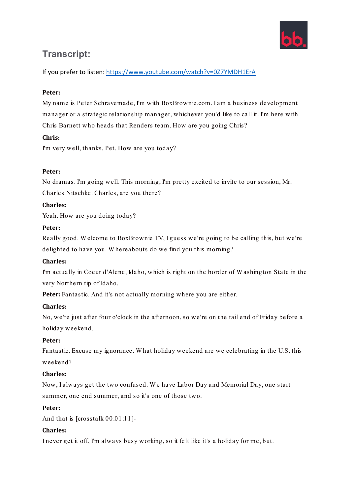

# **Transcript:**

If you prefer to listen[: https://www.youtube.com/watch?v=0Z7YMDH1ErA](https://www.youtube.com/watch?v=0Z7YMDH1ErA) 

# **Peter:**

My name is Peter Schravemade, I'm with BoxBrownie.com. I am a business development manager or a strategic relationship manager, whichever you'd like to call it. I'm here with Chris Barnett who heads that Renders team. How are you going Chris?

# **Chris:**

I'm very well, thanks, Pet. How are you today?

# **Peter:**

No dramas. I'm going well. This morning, I'm pretty excited to invite to our session, Mr. Charles Nitschke. Charles, are you there?

# **Charles:**

Yeah. How are you doing today?

# **Peter:**

Really good. W elcome to BoxBrownie TV, I guess we're going to be calling this, but we're delighted to have you. W hereabouts do we find you this morning?

# **Charles:**

I'm actually in Coeur d'Alene, Idaho, which is right on the border of W ashington State in the very Northern tip of Idaho.

Peter: Fantastic. And it's not actually morning where you are either.

# **Charles:**

No, we're just after four o'clock in the afternoon, so we're on the tail end of Friday before a holiday weekend.

# **Peter:**

Fantastic. Excuse my ignorance. W hat holiday weekend are we celebrating in the U.S. this weekend?

# **Charles:**

Now, I always get the two confused. W e have Labor Day and Memorial Day, one start summer, one end summer, and so it's one of those two.

#### **Peter:**

And that is [crosstalk 00:01:11]-

# **Charles:**

I never get it off, I'm always busy working, so it felt like it's a holiday for me, but.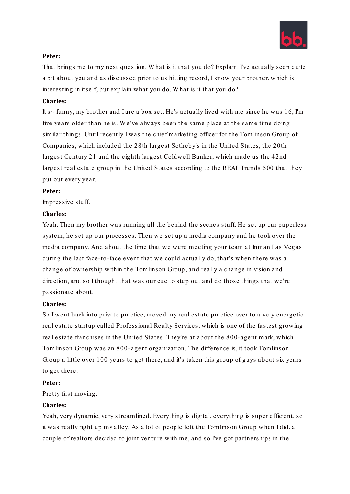

That brings me to my next question. W hat is it that you do? Explain. I've actually seen quite a bit about you and as discussed prior to us hitting record, I know your brother, which is interesting in itself, but explain what you do. W hat is it that you do?

#### **Charles:**

It's~ funny, my brother and I are a box set. He's actually lived with me since he was 16, I'm five years older than he is. W e've always been the same place at the same time doing similar things. Until recently I was the chief marketing officer for the Tomlinson Group of Companies, which included the 28th largest Sotheby's in the United States, the 20th largest Century 21 and the eighth largest Coldwell Banker, which made us the 42nd largest real estate group in the United States according to the REAL Trends 500 that they put out every year.

#### **Peter:**

Impressive stuff.

#### **Charles:**

Yeah. Then my brother was running all the behind the scenes stuff. He set up our paperless system, he set up our processes. Then we set up a media company and he took over the media company. And about the time that we were meeting your team at Inman Las Vegas during the last face-to-face event that we could actually do, that's when there was a change of ownership within the Tomlinson Group, and really a change in vision and direction, and so I thought that was our cue to step out and do those things that we're passionate about.

#### **Charles:**

So I went back into private practice, moved my real estate practice over to a very energetic real estate startup called Professional Realty Services, which is one of the fastest growing real estate franchises in the United States. They're at about the 800-agent mark, which Tomlinson Group was an 800-agent organization. The difference is, it took Tomlinson Group a little over 100 years to get there, and it's taken this group of guys about six years to get there.

#### **Peter:**

Pretty fast moving.

#### **Charles:**

Yeah, very dynamic, very streamlined. Everything is digital, everything is super efficient, so it was really right up my alley. As a lot of people left the Tomlinson Group when I did, a couple of realtors decided to joint venture with me, and so I've got partnerships in the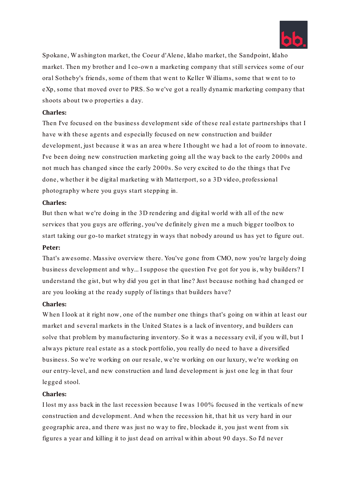

Spokane, W ashington market, the Coeur d'Alene, Idaho market, the Sandpoint, Idaho market. Then my brother and I co-own a marketing company that still services some of our oral Sotheby's friends, some of them that went to Keller W illiams, some that went to to eXp, some that moved over to PRS. So we've got a really dynamic marketing company that shoots about two properties a day.

#### **Charles:**

Then I've focused on the business development side of these real estate partnerships that I have with these agents and especially focused on new construction and builder development, just because it was an area where I thought we had a lot of room to innovate. I've been doing new construction marketing going all the way back to the early 2000s and not much has changed since the early 2000s. So very excited to do the things that I've done, whether it be digital marketing with Matterport, so a 3D video, professional photography where you guys start stepping in.

#### **Charles:**

But then what we're doing in the 3D rendering and digital world with all of the new services that you guys are offering, you've definitely given me a much bigger toolbox to start taking our go-to market strategy in ways that nobody around us has yet to figure out. **Peter:**

That's awesome. Massive overview there. You've gone from CMO, now you're largely doing business development and why... I suppose the question I've got for you is, why builders? I understand the gist, but why did you get in that line? Just because nothing had changed or are you looking at the ready supply of listings that builders have?

#### **Charles:**

When I look at it right now, one of the number one things that's going on within at least our market and several markets in the United States is a lack of inventory, and builders can solve that problem by manufacturing inventory. So it was a necessary evil, if you will, but I always picture real estate as a stock portfolio, you really do need to have a diversified business. So we're working on our resale, we're working on our luxury, we're working on our entry-level, and new construction and land development is just one leg in that four legged stool.

#### **Charles:**

I lost my ass back in the last recession because I was 100% focused in the verticals of new construction and development. And when the recession hit, that hit us very hard in our geographic area, and there was just no way to fire, blockade it, you just went from six figures a year and killing it to just dead on arrival within about 90 days. So I'd never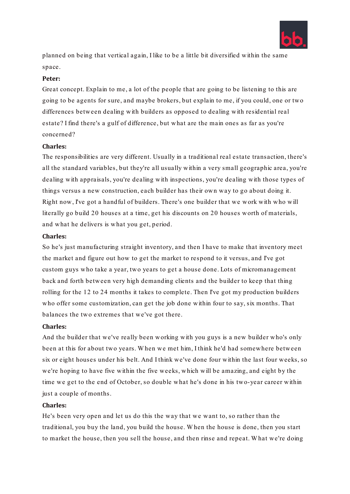

planned on being that vertical again, I like to be a little bit diversified within the same space.

#### **Peter:**

Great concept. Explain to me, a lot of the people that are going to be listening to this are going to be agents for sure, and maybe brokers, but explain to me, if you could, one or two differences between dealing with builders as opposed to dealing with residential real estate? I find there's a gulf of difference, but what are the main ones as far as you're concerned?

#### **Charles:**

The responsibilities are very different. Usually in a traditional real estate transaction, there's all the standard variables, but they're all usually within a very small geographic area, you're dealing with appraisals, you're dealing with inspections, you're dealing with those types of things versus a new construction, each builder has their own way to go about doing it. Right now, I've got a handful of builders. There's one builder that we work with who will literally go build 20 houses at a time, get his discounts on 20 houses worth of materials, and what he delivers is what you get, period.

#### **Charles:**

So he's just manufacturing straight inventory, and then I have to make that inventory meet the market and figure out how to get the market to respond to it versus, and I've got custom guys who take a year, two years to get a house done. Lots of micromanagement back and forth between very high demanding clients and the builder to keep that thing rolling for the 12 to 24 months it takes to complete. Then I've got my production builders who offer some customization, can get the job done within four to say, six months. That balances the two extremes that we've got there.

#### **Charles:**

And the builder that we've really been working with you guys is a new builder who's only been at this for about two years. W hen we met him, I think he'd had somewhere between six or eight houses under his belt. And I think we've done four within the last four weeks, so we're hoping to have five within the five weeks, which will be amazing, and eight by the time we get to the end of October, so double what he's done in his two-year career within just a couple of months.

#### **Charles:**

He's been very open and let us do this the way that we want to, so rather than the traditional, you buy the land, you build the house. W hen the house is done, then you start to market the house, then you sell the house, and then rinse and repeat. W hat we're doing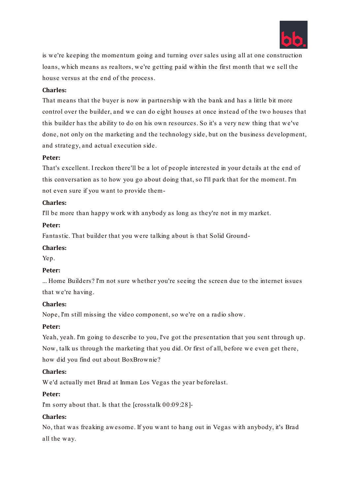

is we're keeping the momentum going and turning over sales using all at one construction loans, which means as realtors, we're getting paid within the first month that we sell the house versus at the end of the process.

#### **Charles:**

That means that the buyer is now in partnership with the bank and has a little bit more control over the builder, and we can do eight houses at once instead of the two houses that this builder has the ability to do on his own resources. So it's a very new thing that we've done, not only on the marketing and the technology side, but on the business development, and strategy, and actual execution side.

#### **Peter:**

That's excellent. I reckon there'll be a lot of people interested in your details at the end of this conversation as to how you go about doing that, so I'll park that for the moment. I'm not even sure if you want to provide them-

#### **Charles:**

I'll be more than happy work with anybody as long as they're not in my market.

#### **Peter:**

Fantastic. That builder that you were talking about is that Solid Ground-

#### **Charles:**

Yep.

#### **Peter:**

... Home Builders? I'm not sure whether you're seeing the screen due to the internet issues that we're having.

#### **Charles:**

Nope, I'm still missing the video component, so we're on a radio show.

#### **Peter:**

Yeah, yeah. I'm going to describe to you, I've got the presentation that you sent through up. Now, talk us through the marketing that you did. Or first of all, before we even get there, how did you find out about BoxBrownie?

#### **Charles:**

W e'd actually met Brad at Inman Los Vegas the year beforelast.

#### **Peter:**

I'm sorry about that. Is that the [crosstalk 00:09:28]-

#### **Charles:**

No, that was freaking awesome. If you want to hang out in Vegas with anybody, it's Brad all the way.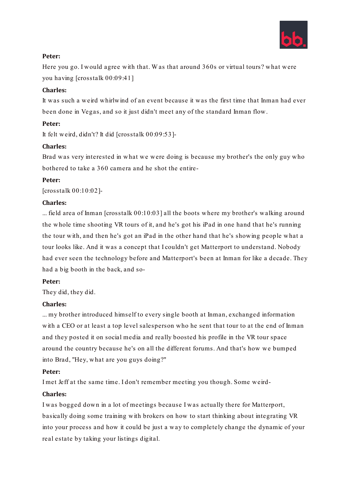

Here you go. I would agree with that. W as that around 360s or virtual tours? what were you having [crosstalk 00:09:41]

# **Charles:**

It was such a weird whirlwind of an event because it was the first time that Inman had ever been done in Vegas, and so it just didn't meet any of the standard Inman flow.

#### **Peter:**

It felt weird, didn't? It did [crosstalk 00:09:53]-

#### **Charles:**

Brad was very interested in what we were doing is because my brother's the only guy who bothered to take a 360 camera and he shot the entire-

#### **Peter:**

[crosstalk 00:10:02]-

#### **Charles:**

... field area of Inman [crosstalk 00:10:03] all the boots where my brother's walking around the whole time shooting VR tours of it, and he's got his iPad in one hand that he's running the tour with, and then he's got an iPad in the other hand that he's showing people what a tour looks like. And it was a concept that I couldn't get Matterport to understand. Nobody had ever seen the technology before and Matterport's been at Inman for like a decade. They had a big booth in the back, and so-

#### **Peter:**

They did, they did.

# **Charles:**

... my brother introduced himself to every single booth at Inman, exchanged information with a CEO or at least a top level salesperson who he sent that tour to at the end of Inman and they posted it on social media and really boosted his profile in the VR tour space around the country because he's on all the different forums. And that's how we bumped into Brad, "Hey, what are you guys doing?"

#### **Peter:**

I met Jeff at the same time. I don't remember meeting you though. Some weird-

#### **Charles:**

I was bogged down in a lot of meetings because I was actually there for Matterport, basically doing some training with brokers on how to start thinking about integrating VR into your process and how it could be just a way to completely change the dynamic of your real estate by taking your listings digital.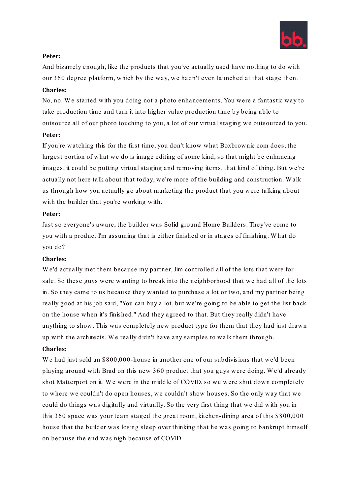

And bizarrely enough, like the products that you've actually used have nothing to do with our 360 degree platform, which by the way, we hadn't even launched at that stage then.

### **Charles:**

No, no. W e started with you doing not a photo enhancements. You were a fantastic way to take production time and turn it into higher value production time by being able to outsource all of our photo touching to you, a lot of our virtual staging we outsourced to you.

#### **Peter:**

If you're watching this for the first time, you don't know what Boxbrownie.com does, the largest portion of what we do is image editing of some kind, so that might be enhancing images, it could be putting virtual staging and removing items, that kind of thing. But we're actually not here talk about that today, we're more of the building and construction. W alk us through how you actually go about marketing the product that you were talking about with the builder that you're working with.

#### **Peter:**

Just so everyone's aware, the builder was Solid ground Home Builders. They've come to you with a product I'm assuming that is either finished or in stages of finishing. W hat do you do?

# **Charles:**

W e'd actually met them because my partner, Jim controlled all of the lots that were for sale. So these guys were wanting to break into the neighborhood that we had all of the lots in. So they came to us because they wanted to purchase a lot or two, and my partner being really good at his job said, "You can buy a lot, but we're going to be able to get the list back on the house when it's finished." And they agreed to that. But they really didn't have anything to show. This was completely new product type for them that they had just drawn up with the architects. W e really didn't have any samples to walk them through.

# **Charles:**

We had just sold an \$800,000-house in another one of our subdivisions that we'd been playing around with Brad on this new 360 product that you guys were doing. W e'd already shot Matterport on it. W e were in the middle of COVID, so we were shut down completely to where we couldn't do open houses, we couldn't show houses. So the only way that we could do things was digitally and virtually. So the very first thing that we did with you in this 360 space was your team staged the great room, kitchen-dining area of this \$800,000 house that the builder was losing sleep over thinking that he was going to bankrupt himself on because the end was nigh because of COVID.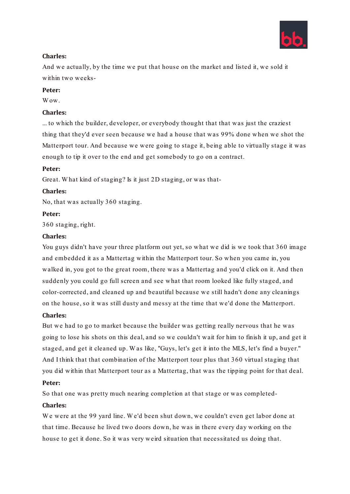

# **Charles:**

And we actually, by the time we put that house on the market and listed it, we sold it within two weeks-

# **Peter:**

W<sub>ow</sub>

# **Charles:**

... to which the builder, developer, or everybody thought that that was just the craziest thing that they'd ever seen because we had a house that was 99% done when we shot the Matterport tour. And because we were going to stage it, being able to virtually stage it was enough to tip it over to the end and get somebody to go on a contract.

#### **Peter:**

Great. W hat kind of staging? Is it just 2D staging, or was that-

# **Charles:**

No, that was actually 360 staging.

#### **Peter:**

360 staging, right.

#### **Charles:**

You guys didn't have your three platform out yet, so what we did is we took that 360 image and embedded it as a Mattertag within the Matterport tour. So when you came in, you walked in, you got to the great room, there was a Mattertag and you'd click on it. And then suddenly you could go full screen and see what that room looked like fully staged, and color-corrected, and cleaned up and beautiful because we still hadn't done any cleanings on the house, so it was still dusty and messy at the time that we'd done the Matterport.

# **Charles:**

But we had to go to market because the builder was getting really nervous that he was going to lose his shots on this deal, and so we couldn't wait for him to finish it up, and get it staged, and get it cleaned up. W as like, "Guys, let's get it into the MLS, let's find a buyer." And I think that that combination of the Matterport tour plus that 360 virtual staging that you did within that Matterport tour as a Mattertag, that was the tipping point for that deal.

# **Peter:**

So that one was pretty much nearing completion at that stage or was completed-

# **Charles:**

W e were at the 99 yard line. W e'd been shut down, we couldn't even get labor done at that time. Because he lived two doors down, he was in there every day working on the house to get it done. So it was very weird situation that necessitated us doing that.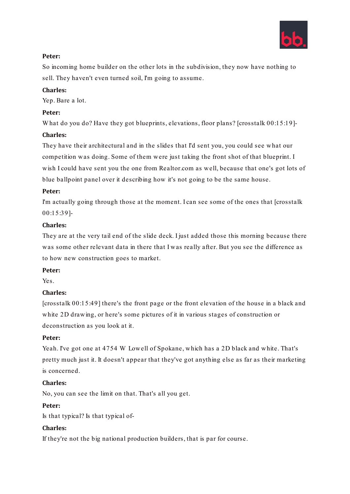

So incoming home builder on the other lots in the subdivision, they now have nothing to sell. They haven't even turned soil, I'm going to assume.

# **Charles:**

Yep. Bare a lot.

# **Peter:**

W hat do you do? Have they got blueprints, elevations, floor plans? [crosstalk 00:15:19]-

# **Charles:**

They have their architectural and in the slides that I'd sent you, you could see what our competition was doing. Some of them were just taking the front shot of that blueprint. I wish I could have sent you the one from Realtor.com as well, because that one's got lots of blue ballpoint panel over it describing how it's not going to be the same house.

# **Peter:**

I'm actually going through those at the moment. I can see some of the ones that [crosstalk] 00:15:39]-

# **Charles:**

They are at the very tail end of the slide deck. I just added those this morning because there was some other relevant data in there that I was really after. But you see the difference as to how new construction goes to market.

# **Peter:**

Yes.

# **Charles:**

[crosstalk 00:15:49] there's the front page or the front elevation of the house in a black and white 2D drawing, or here's some pictures of it in various stages of construction or deconstruction as you look at it.

# **Peter:**

Yeah. I've got one at 4754 W Lowell of Spokane, which has a 2D black and white. That's pretty much just it. It doesn't appear that they've got anything else as far as their marketing is concerned.

# **Charles:**

No, you can see the limit on that. That's all you get.

# **Peter:**

Is that typical? Is that typical of-

# **Charles:**

If they're not the big national production builders, that is par for course.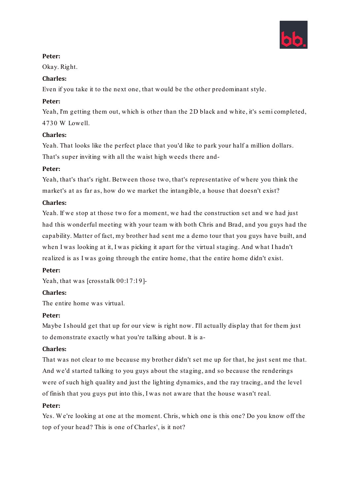

Okay. Right.

# **Charles:**

Even if you take it to the next one, that would be the other predominant style.

# **Peter:**

Yeah, I'm getting them out, which is other than the 2D black and white, it's semi completed, 4730 W Lowell.

# **Charles:**

Yeah. That looks like the perfect place that you'd like to park your half a million dollars. That's super inviting with all the waist high weeds there and-

# **Peter:**

Yeah, that's that's right. Between those two, that's representative of where you think the market's at as far as, how do we market the intangible, a house that doesn't exist?

# **Charles:**

Yeah. If we stop at those two for a moment, we had the construction set and we had just had this wonderful meeting with your team with both Chris and Brad, and you guys had the capability. Matter of fact, my brother had sent me a demo tour that you guys have built, and when I was looking at it, I was picking it apart for the virtual staging. And what I hadn't realized is as I was going through the entire home, that the entire home didn't exist.

# **Peter:**

Yeah, that was [crosstalk 00:17:19]-

# **Charles:**

The entire home was virtual.

# **Peter:**

Maybe I should get that up for our view is right now. I'll actually display that for them just to demonstrate exactly what you're talking about. It is a-

# **Charles:**

That was not clear to me because my brother didn't set me up for that, he just sent me that. And we'd started talking to you guys about the staging, and so because the renderings were of such high quality and just the lighting dynamics, and the ray tracing, and the level of finish that you guys put into this, I was not aware that the house wasn't real.

# **Peter:**

Yes. W e're looking at one at the moment. Chris, which one is this one? Do you know off the top of your head? This is one of Charles', is it not?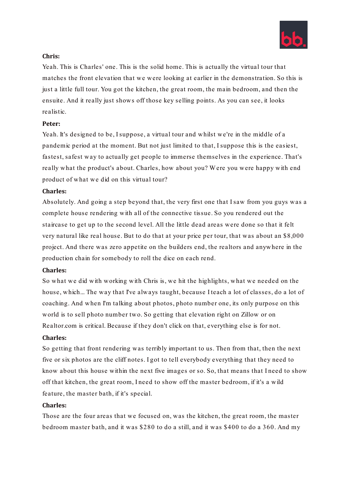

#### **Chris:**

Yeah. This is Charles' one. This is the solid home. This is actually the virtual tour that matches the front elevation that we were looking at earlier in the demonstration. So this is just a little full tour. You got the kitchen, the great room, the main bedroom, and then the ensuite. And it really just shows off those key selling points. As you can see, it looks realistic.

#### **Peter:**

Yeah. It's designed to be, I suppose, a virtual tour and whilst we're in the middle of a pandemic period at the moment. But not just limited to that, I suppose this is the easiest, fastest, safest way to actually get people to immerse themselves in the experience. That's really what the product's about. Charles, how about you? W ere you were happy with end product of what we did on this virtual tour?

#### **Charles:**

Absolutely. And going a step beyond that, the very first one that I saw from you guys was a complete house rendering with all of the connective tissue. So you rendered out the staircase to get up to the second level. All the little dead areas were done so that it felt very natural like real house. But to do that at your price per tour, that was about an \$8,000 project. And there was zero appetite on the builders end, the realtors and anywhere in the production chain for somebody to roll the dice on each rend.

#### **Charles:**

So what we did with working with Chris is, we hit the highlights, what we needed on the house, which... The way that I've always taught, because I teach a lot of classes, do a lot of coaching. And when I'm talking about photos, photo number one, its only purpose on this world is to sell photo number two. So getting that elevation right on Zillow or on Realtor.com is critical. Because if they don't click on that, everything else is for not.

# **Charles:**

So getting that front rendering was terribly important to us. Then from that, then the next five or six photos are the cliff notes. I got to tell everybody everything that they need to know about this house within the next five images or so. So, that means that I need to show off that kitchen, the great room, I need to show off the master bedroom, if it's a wild feature, the master bath, if it's special.

#### **Charles:**

Those are the four areas that we focused on, was the kitchen, the great room, the master bedroom master bath, and it was \$280 to do a still, and it was \$400 to do a 360. And my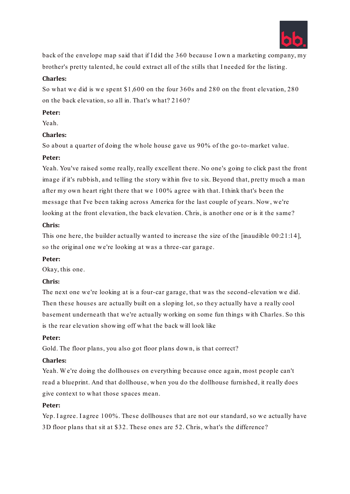

back of the envelope map said that if I did the 360 because I own a marketing company, my brother's pretty talented, he could extract all of the stills that I needed for the listing.

#### **Charles:**

So what we did is we spent \$1,600 on the four 360s and 280 on the front elevation, 280 on the back elevation, so all in. That's what? 2160?

#### **Peter:**

Yeah.

# **Charles:**

So about a quarter of doing the whole house gave us 90% of the go-to-market value.

#### **Peter:**

Yeah. You've raised some really, really excellent there. No one's going to click past the front image if it's rubbish, and telling the story within five to six. Beyond that, pretty much a man after my own heart right there that we 100% agree with that. I think that's been the message that I've been taking across America for the last couple of years. Now, we're looking at the front elevation, the back elevation. Chris, is another one or is it the same?

#### **Chris:**

This one here, the builder actually wanted to increase the size of the [inaudible 00:21:14], so the original one we're looking at was a three-car garage.

#### **Peter:**

Okay, this one.

# **Chris:**

The next one we're looking at is a four-car garage, that was the second-elevation we did. Then these houses are actually built on a sloping lot, so they actually have a really cool basement underneath that we're actually working on some fun things with Charles. So this is the rear elevation showing off what the back will look like

#### **Peter:**

Gold. The floor plans, you also got floor plans down, is that correct?

# **Charles:**

Yeah. We're doing the dollhouses on everything because once again, most people can't read a blueprint. And that dollhouse, when you do the dollhouse furnished, it really does give context to what those spaces mean.

#### **Peter:**

Yep. I agree. I agree 100%. These dollhouses that are not our standard, so we actually have 3D floor plans that sit at \$32. These ones are 52. Chris, what's the difference?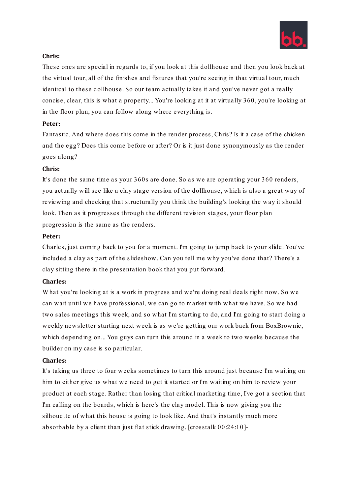

#### **Chris:**

These ones are special in regards to, if you look at this dollhouse and then you look back at the virtual tour, all of the finishes and fixtures that you're seeing in that virtual tour, much identical to these dollhouse. So our team actually takes it and you've never got a really concise, clear, this is what a property... You're looking at it at virtually 360, you're looking at in the floor plan, you can follow along where everything is.

#### **Peter:**

Fantastic. And where does this come in the render process, Chris? Is it a case of the chicken and the egg? Does this come before or after? Or is it just done synonymously as the render goes along?

#### **Chris:**

It's done the same time as your 360s are done. So as we are operating your 360 renders, you actually will see like a clay stage version of the dollhouse, which is also a great way of reviewing and checking that structurally you think the building's looking the way it should look. Then as it progresses through the different revision stages, your floor plan progression is the same as the renders.

#### **Peter:**

Charles, just coming back to you for a moment. I'm going to jump back to your slide. You've included a clay as part of the slideshow. Can you tell me why you've done that? There's a clay sitting there in the presentation book that you put forward.

#### **Charles:**

W hat you're looking at is a work in progress and we're doing real deals right now. So we can wait until we have professional, we can go to market with what we have. So we had two sales meetings this week, and so what I'm starting to do, and I'm going to start doing a weekly newsletter starting next week is as we're getting our work back from BoxBrownie, which depending on... You guys can turn this around in a week to two weeks because the builder on my case is so particular.

#### **Charles:**

It's taking us three to four weeks sometimes to turn this around just because I'm waiting on him to either give us what we need to get it started or I'm waiting on him to review your product at each stage. Rather than losing that critical marketing time, I've got a section that I'm calling on the boards, which is here's the clay model. This is now giving you the silhouette of what this house is going to look like. And that's instantly much more absorbable by a client than just flat stick drawing. [crosstalk 00:24:10]-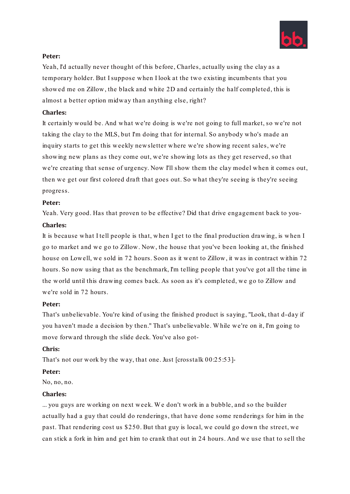

Yeah, I'd actually never thought of this before, Charles, actually using the clay as a temporary holder. But I suppose when I look at the two existing incumbents that you showed me on Zillow, the black and white 2D and certainly the half completed, this is almost a better option midway than anything else, right?

# **Charles:**

It certainly would be. And what we're doing is we're not going to full market, so we're not taking the clay to the MLS, but I'm doing that for internal. So anybody who's made an inquiry starts to get this weekly newsletter where we're showing recent sales, we're showing new plans as they come out, we're showing lots as they get reserved, so that we're creating that sense of urgency. Now I'll show them the clay model when it comes out, then we get our first colored draft that goes out. So what they're seeing is they're seeing progress.

#### **Peter:**

Yeah. Very good. Has that proven to be effective? Did that drive engagement back to you-

#### **Charles:**

It is because what I tell people is that, when I get to the final production drawing, is when I go to market and we go to Zillow. Now, the house that you've been looking at, the finished house on Lowell, we sold in 72 hours. Soon as it went to Zillow, it was in contract within 72 hours. So now using that as the benchmark, I'm telling people that you've got all the time in the world until this drawing comes back. As soon as it's completed, we go to Zillow and we're sold in 72 hours.

# **Peter:**

That's unbelievable. You're kind of using the finished product is saying, "Look, that d-day if you haven't made a decision by then." That's unbelievable. W hile we're on it, I'm going to move forward through the slide deck. You've also got-

#### **Chris:**

That's not our work by the way, that one. Just [crosstalk 00:25:53]-

#### **Peter:**

No, no, no.

#### **Charles:**

... you guys are working on next week. W e don't work in a bubble, and so the builder actually had a guy that could do renderings, that have done some renderings for him in the past. That rendering cost us \$250. But that guy is local, we could go down the street, we can stick a fork in him and get him to crank that out in 24 hours. And we use that to sell the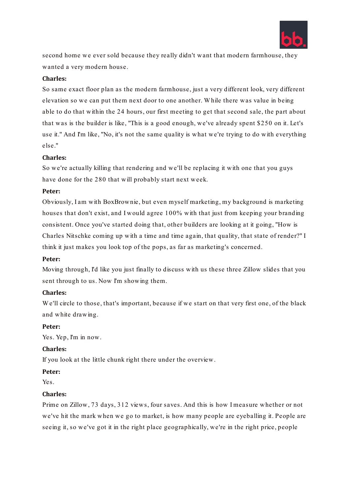

second home we ever sold because they really didn't want that modern farmhouse, they wanted a very modern house.

#### **Charles:**

So same exact floor plan as the modern farmhouse, just a very different look, very different elevation so we can put them next door to one another. W hile there was value in being able to do that within the 24 hours, our first meeting to get that second sale, the part about that was is the builder is like, "This is a good enough, we've already spent \$250 on it. Let's use it." And I'm like, "No, it's not the same quality is what we're trying to do with everything else."

#### **Charles:**

So we're actually killing that rendering and we'll be replacing it with one that you guys have done for the 280 that will probably start next week.

#### **Peter:**

Obviously, I am with BoxBrownie, but even myself marketing, my background is marketing houses that don't exist, and I would agree 100% with that just from keeping your branding consistent. Once you've started doing that, other builders are looking at it going, "How is Charles Nitschke coming up with a time and time again, that quality, that state of render?" I think it just makes you look top of the pops, as far as marketing's concerned.

#### **Peter:**

Moving through, I'd like you just finally to discuss with us these three Zillow slides that you sent through to us. Now I'm showing them.

#### **Charles:**

W e'll circle to those, that's important, because if we start on that very first one, of the black and white drawing.

#### **Peter:**

Yes. Yep, I'm in now.

#### **Charles:**

If you look at the little chunk right there under the overview.

#### **Peter:**

Yes.

#### **Charles:**

Prime on Zillow, 73 days, 312 views, four saves. And this is how I measure whether or not we've hit the mark when we go to market, is how many people are eyeballing it. People are seeing it, so we've got it in the right place geographically, we're in the right price, people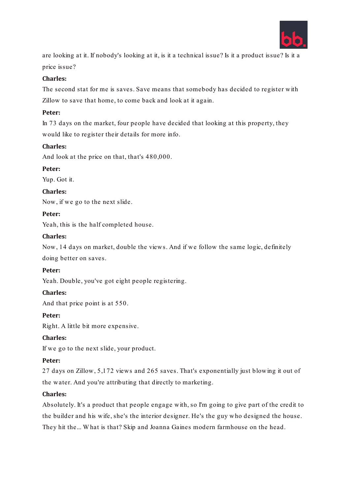

are looking at it. If nobody's looking at it, is it a technical issue? Is it a product issue? Is it a price issue?

# **Charles:**

The second stat for me is saves. Save means that somebody has decided to register with Zillow to save that home, to come back and look at it again.

#### **Peter:**

In 73 days on the market, four people have decided that looking at this property, they would like to register their details for more info.

#### **Charles:**

And look at the price on that, that's 480,000.

#### **Peter:**

Yup. Got it.

#### **Charles:**

Now, if we go to the next slide.

#### **Peter:**

Yeah, this is the half completed house.

#### **Charles:**

Now, 14 days on market, double the views. And if we follow the same logic, definitely

doing better on saves.

#### **Peter:**

Yeah. Double, you've got eight people registering.

# **Charles:**

And that price point is at 550.

#### **Peter:**

Right. A little bit more expensive.

# **Charles:**

If we go to the next slide, your product.

#### **Peter:**

27 days on Zillow, 5,172 views and 265 saves. That's exponentially just blowing it out of the water. And you're attributing that directly to marketing.

# **Charles:**

Absolutely. It's a product that people engage with, so I'm going to give part of the credit to the builder and his wife, she's the interior designer. He's the guy who designed the house. They hit the... W hat is that? Skip and Joanna Gaines modern farmhouse on the head.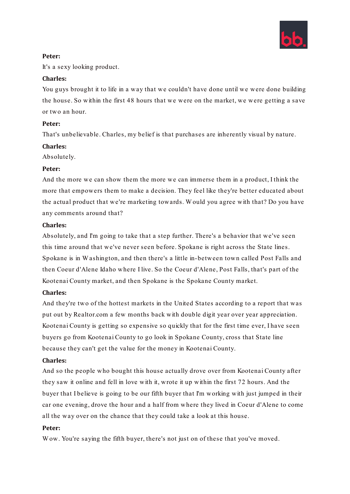

It's a sexy looking product.

#### **Charles:**

You guys brought it to life in a way that we couldn't have done until we were done building the house. So within the first 48 hours that we were on the market, we were getting a save or two an hour.

#### **Peter:**

That's unbelievable. Charles, my belief is that purchases are inherently visual by nature.

#### **Charles:**

Absolutely.

#### **Peter:**

And the more we can show them the more we can immerse them in a product, I think the more that empowers them to make a decision. They feel like they're better educated about the actual product that we're marketing towards. W ould you agree with that? Do you have any comments around that?

#### **Charles:**

Absolutely, and I'm going to take that a step further. There's a behavior that we've seen this time around that we've never seen before. Spokane is right across the State lines. Spokane is in W ashington, and then there's a little in-between town called Post Falls and then Coeur d'Alene Idaho where I live. So the Coeur d'Alene, Post Falls, that's part of the Kootenai County market, and then Spokane is the Spokane County market.

# **Charles:**

And they're two of the hottest markets in the United States according to a report that was put out by Realtor.com a few months back with double digit year over year appreciation. Kootenai County is getting so expensive so quickly that for the first time ever, I have seen buyers go from Kootenai County to go look in Spokane County, cross that State line because they can't get the value for the money in Kootenai County.

# **Charles:**

And so the people who bought this house actually drove over from Kootenai County after they saw it online and fell in love with it, wrote it up within the first 72 hours. And the buyer that I believe is going to be our fifth buyer that I'm working with just jumped in their car one evening, drove the hour and a half from where they lived in Coeur d'Alene to come all the way over on the chance that they could take a look at this house.

#### **Peter:**

W ow. You're saying the fifth buyer, there's not just on of these that you've moved.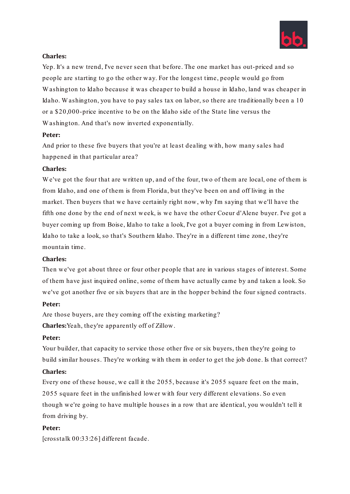

#### **Charles:**

Yep. It's a new trend, I've never seen that before. The one market has out-priced and so people are starting to go the other way. For the longest time, people would go from W ashington to Idaho because it was cheaper to build a house in Idaho, land was cheaper in Idaho. W ashington, you have to pay sales tax on labor, so there are traditionally been a 10 or a \$20,000-price incentive to be on the Idaho side of the State line versus the W ashington. And that's now inverted exponentially.

#### **Peter:**

And prior to these five buyers that you're at least dealing with, how many sales had happened in that particular area?

#### **Charles:**

W e've got the four that are written up, and of the four, two of them are local, one of them is from Idaho, and one of them is from Florida, but they've been on and off living in the market. Then buyers that we have certainly right now, why I'm saying that we'll have the fifth one done by the end of next week, is we have the other Coeur d'Alene buyer. I've got a buyer coming up from Boise, Idaho to take a look, I've got a buyer coming in from Lewiston, Idaho to take a look, so that's Southern Idaho. They're in a different time zone, they're mountain time.

#### **Charles:**

Then we've got about three or four other people that are in various stages of interest. Some of them have just inquired online, some of them have actually came by and taken a look. So we've got another five or six buyers that are in the hopper behind the four signed contracts.

# **Peter:**

Are those buyers, are they coming off the existing marketing?

**Charles:**Yeah, they're apparently off of Zillow.

# **Peter:**

Your builder, that capacity to service those other five or six buyers, then they're going to build similar houses. They're working with them in order to get the job done. Is that correct?

#### **Charles:**

Every one of these house, we call it the 2055, because it's 2055 square feet on the main, 2055 square feet in the unfinished lower with four very different elevations. So even though we're going to have multiple houses in a row that are identical, you wouldn't tell it from driving by.

#### **Peter:**

[crosstalk 00:33:26] different facade.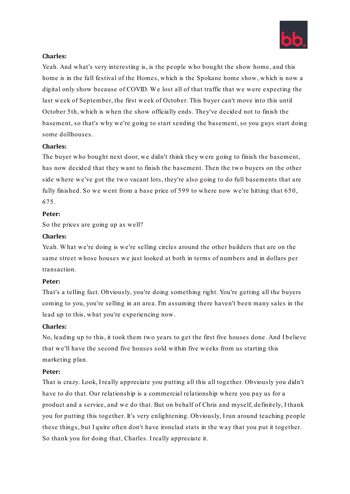

#### **Charles:**

Yeah. And what's very interesting is, is the people who bought the show home, and this home is in the fall festival of the Homes, which is the Spokane home show, which is now a digital only show because of COVID. We lost all of that traffic that we were expecting the last week of September, the first week of October. This buyer can't move into this until October 5th, which is when the show officially ends. They've decided not to finish the basement, so that's why we're going to start sending the basement, so you guys start doing some dollhouses.

#### **Charles:**

The buyer who bought next door, we didn't think they were going to finish the basement, has now decided that they want to finish the basement. Then the two buyers on the other side where we've got the two vacant lots, they're also going to do full basements that are fully finished. So we went from a base price of 599 to where now we're hitting that 650, 675.

#### **Peter:**

So the prices are going up as well?

#### **Charles:**

Yeah. What we're doing is we're selling circles around the other builders that are on the same street whose houses we just looked at both in terms of numbers and in dollars per transaction.

#### **Peter:**

That's a telling fact. Obviously, you're doing something right. You're getting all the buyers coming to you, you're selling in an area. I'm assuming there haven't been many sales in the lead up to this, what you're experiencing now.

#### **Charles:**

No, leading up to this, it took them two years to get the first five houses done. And I believe that we'll have the second five houses sold within five weeks from us starting this marketing plan.

#### **Peter:**

That is crazy. Look, I really appreciate you putting all this all together. Obviously you didn't have to do that. Our relationship is a commercial relationship where you pay us for a product and a service, and we do that. But on behalf of Chris and myself, definitely, I thank you for putting this together. It's very enlightening. Obviously, I run around teaching people these things, but I quite often don't have ironclad stats in the way that you put it together. So thank you for doing that, Charles. I really appreciate it.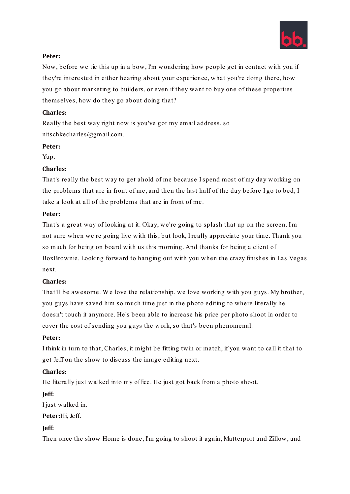

Now, before we tie this up in a bow, I'm wondering how people get in contact with you if they're interested in either hearing about your experience, what you're doing there, how you go about marketing to builders, or even if they want to buy one of these properties themselves, how do they go about doing that?

# **Charles:**

Really the best way right now is you've got my email address, so nitschkecharles@gmail.com.

# **Peter:**

Yup.

# **Charles:**

That's really the best way to get ahold of me because I spend most of my day working on the problems that are in front of me, and then the last half of the day before I go to bed, I take a look at all of the problems that are in front of me.

# **Peter:**

That's a great way of looking at it. Okay, we're going to splash that up on the screen. I'm not sure when we're going live with this, but look, I really appreciate your time. Thank you so much for being on board with us this morning. And thanks for being a client of BoxBrownie. Looking forward to hanging out with you when the crazy finishes in Las Vegas next.

# **Charles:**

That'll be awesome. We love the relationship, we love working with you guys. My brother, you guys have saved him so much time just in the photo editing to where literally he doesn't touch it anymore. He's been able to increase his price per photo shoot in order to cover the cost of sending you guys the work, so that's been phenomenal.

# **Peter:**

I think in turn to that, Charles, it might be fitting twin or match, if you want to call it that to get Jeff on the show to discuss the image editing next.

# **Charles:**

He literally just walked into my office. He just got back from a photo shoot.

# **Jeff:**

I just walked in.

**Peter:**Hi, Jeff.

# **Jeff:**

Then once the show Home is done, I'm going to shoot it again, Matterport and Zillow, and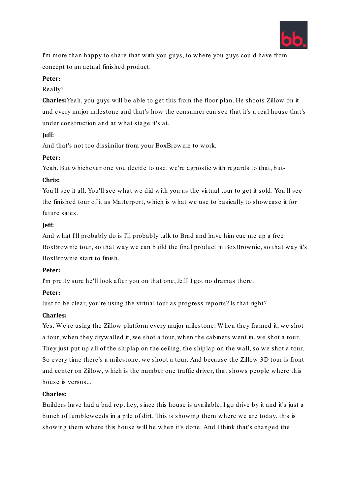

I'm more than happy to share that with you guys, to where you guys could have from concept to an actual finished product.

# **Peter:**

# Really?

**Charles:**Yeah, you guys will be able to get this from the floor plan. He shoots Zillow on it and every major milestone and that's how the consumer can see that it's a real house that's under construction and at what stage it's at.

#### **Jeff:**

And that's not too dissimilar from your BoxBrownie to work.

# **Peter:**

Yeah. But whichever one you decide to use, we're agnostic with regards to that, but-

#### **Chris:**

You'll see it all. You'll see what we did with you as the virtual tour to get it sold. You'll see the finished tour of it as Matterport, which is what we use to basically to showcase it for future sales.

#### **Jeff:**

And what I'll probably do is I'll probably talk to Brad and have him cue me up a free BoxBrownie tour, so that way we can build the final product in BoxBrownie, so that way it's BoxBrownie start to finish.

# **Peter:**

I'm pretty sure he'll look after you on that one, Jeff. I got no dramas there.

# **Peter:**

Just to be clear, you're using the virtual tour as progress reports? Is that right?

# **Charles:**

Yes. W e're using the Zillow platform every major milestone. W hen they framed it, we shot a tour, when they drywalled it, we shot a tour, when the cabinets went in, we shot a tour. They just put up all of the shiplap on the ceiling, the shiplap on the wall, so we shot a tour. So every time there's a milestone, we shoot a tour. And because the Zillow 3D tour is front and center on Zillow, which is the number one traffic driver, that shows people where this house is versus...

# **Charles:**

Builders have had a bad rep, hey, since this house is available, I go drive by it and it's just a bunch of tumbleweeds in a pile of dirt. This is showing them where we are today, this is showing them where this house will be when it's done. And I think that's changed the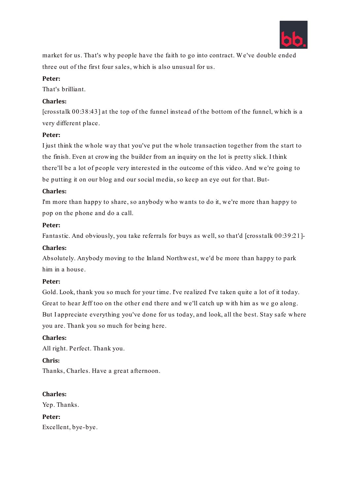

market for us. That's why people have the faith to go into contract. W e've double ended three out of the first four sales, which is also unusual for us.

# **Peter:**

That's brilliant.

# **Charles:**

[crosstalk 00:38:43] at the top of the funnel instead of the bottom of the funnel, which is a very different place.

#### **Peter:**

I just think the whole way that you've put the whole transaction together from the start to the finish. Even at crowing the builder from an inquiry on the lot is pretty slick. I think there'll be a lot of people very interested in the outcome of this video. And we're going to be putting it on our blog and our social media, so keep an eye out for that. But-

#### **Charles:**

I'm more than happy to share, so anybody who wants to do it, we're more than happy to pop on the phone and do a call.

#### **Peter:**

Fantastic. And obviously, you take referrals for buys as well, so that'd [crosstalk 00:39:21]-

#### **Charles:**

Absolutely. Anybody moving to the Inland Northwest, we'd be more than happy to park him in a house.

#### **Peter:**

Gold. Look, thank you so much for your time. I've realized I've taken quite a lot of it today. Great to hear Jeff too on the other end there and we'll catch up with him as we go along. But I appreciate everything you've done for us today, and look, all the best. Stay safe where you are. Thank you so much for being here.

# **Charles:**

All right. Perfect. Thank you.

#### **Chris:**

Thanks, Charles. Have a great afternoon.

# **Charles:**

Yep. Thanks.

**Peter:** Excellent, bye-bye.